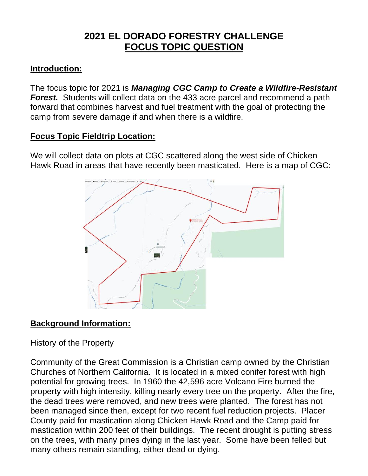# **2021 EL DORADO FORESTRY CHALLENGE FOCUS TOPIC QUESTION**

### **Introduction:**

The focus topic for 2021 is *Managing CGC Camp to Create a Wildfire-Resistant Forest.* Students will collect data on the 433 acre parcel and recommend a path forward that combines harvest and fuel treatment with the goal of protecting the camp from severe damage if and when there is a wildfire.

### **Focus Topic Fieldtrip Location:**

We will collect data on plots at CGC scattered along the west side of Chicken Hawk Road in areas that have recently been masticated. Here is a map of CGC:



# **Background Information:**

#### History of the Property

Community of the Great Commission is a Christian camp owned by the Christian Churches of Northern California. It is located in a mixed conifer forest with high potential for growing trees. In 1960 the 42,596 acre Volcano Fire burned the property with high intensity, killing nearly every tree on the property. After the fire, the dead trees were removed, and new trees were planted. The forest has not been managed since then, except for two recent fuel reduction projects. Placer County paid for mastication along Chicken Hawk Road and the Camp paid for mastication within 200 feet of their buildings. The recent drought is putting stress on the trees, with many pines dying in the last year. Some have been felled but many others remain standing, either dead or dying.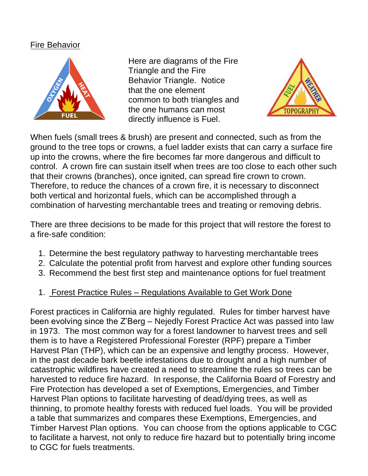#### Fire Behavior



Here are diagrams of the Fire Triangle and the Fire Behavior Triangle. Notice that the one element common to both triangles and the one humans can most directly influence is Fuel.



When fuels (small trees & brush) are present and connected, such as from the ground to the tree tops or crowns, a fuel ladder exists that can carry a surface fire up into the crowns, where the fire becomes far more dangerous and difficult to control. A crown fire can sustain itself when trees are too close to each other such that their crowns (branches), once ignited, can spread fire crown to crown. Therefore, to reduce the chances of a crown fire, it is necessary to disconnect both vertical and horizontal fuels, which can be accomplished through a combination of harvesting merchantable trees and treating or removing debris.

There are three decisions to be made for this project that will restore the forest to a fire-safe condition:

- 1. Determine the best regulatory pathway to harvesting merchantable trees
- 2. Calculate the potential profit from harvest and explore other funding sources
- 3. Recommend the best first step and maintenance options for fuel treatment
- 1. Forest Practice Rules Regulations Available to Get Work Done

Forest practices in California are highly regulated. Rules for timber harvest have been evolving since the Z'Berg – Nejedly Forest Practice Act was passed into law in 1973. The most common way for a forest landowner to harvest trees and sell them is to have a Registered Professional Forester (RPF) prepare a Timber Harvest Plan (THP), which can be an expensive and lengthy process. However, in the past decade bark beetle infestations due to drought and a high number of catastrophic wildfires have created a need to streamline the rules so trees can be harvested to reduce fire hazard. In response, the California Board of Forestry and Fire Protection has developed a set of Exemptions, Emergencies, and Timber Harvest Plan options to facilitate harvesting of dead/dying trees, as well as thinning, to promote healthy forests with reduced fuel loads. You will be provided a table that summarizes and compares these Exemptions, Emergencies, and Timber Harvest Plan options. You can choose from the options applicable to CGC to facilitate a harvest, not only to reduce fire hazard but to potentially bring income to CGC for fuels treatments.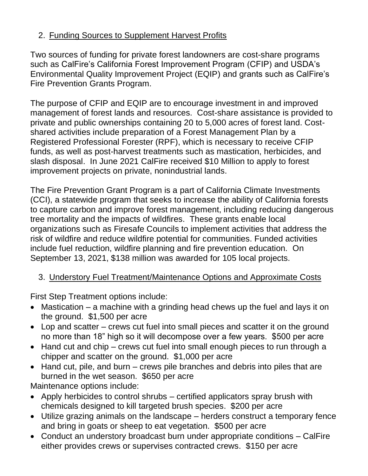# 2. Funding Sources to Supplement Harvest Profits

Two sources of funding for private forest landowners are cost-share programs such as CalFire's California Forest Improvement Program (CFIP) and USDA's Environmental Quality Improvement Project (EQIP) and grants such as CalFire's Fire Prevention Grants Program.

The purpose of CFIP and EQIP are to encourage investment in and improved management of forest lands and resources. Cost-share assistance is provided to private and public ownerships containing 20 to 5,000 acres of forest land. Costshared activities include preparation of a Forest Management Plan by a Registered Professional Forester (RPF), which is necessary to receive CFIP funds, as well as post-harvest treatments such as mastication, herbicides, and slash disposal. In June 2021 CalFire received \$10 Million to apply to forest improvement projects on private, nonindustrial lands.

The Fire Prevention Grant Program is a part of California Climate Investments (CCI), a statewide program that seeks to increase the ability of California forests to capture carbon and improve forest management, including reducing dangerous tree mortality and the impacts of wildfires. These grants enable local organizations such as Firesafe Councils to implement activities that address the risk of wildfire and reduce wildfire potential for communities. Funded activities include fuel reduction, wildfire planning and fire prevention education. On September 13, 2021, \$138 million was awarded for 105 local projects.

# 3. Understory Fuel Treatment/Maintenance Options and Approximate Costs

First Step Treatment options include:

- Mastication a machine with a grinding head chews up the fuel and lays it on the ground. \$1,500 per acre
- Lop and scatter crews cut fuel into small pieces and scatter it on the ground no more than 18" high so it will decompose over a few years. \$500 per acre
- Hand cut and chip crews cut fuel into small enough pieces to run through a chipper and scatter on the ground. \$1,000 per acre
- Hand cut, pile, and burn crews pile branches and debris into piles that are burned in the wet season. \$650 per acre

Maintenance options include:

- Apply herbicides to control shrubs certified applicators spray brush with chemicals designed to kill targeted brush species. \$200 per acre
- Utilize grazing animals on the landscape herders construct a temporary fence and bring in goats or sheep to eat vegetation. \$500 per acre
- Conduct an understory broadcast burn under appropriate conditions CalFire either provides crews or supervises contracted crews. \$150 per acre